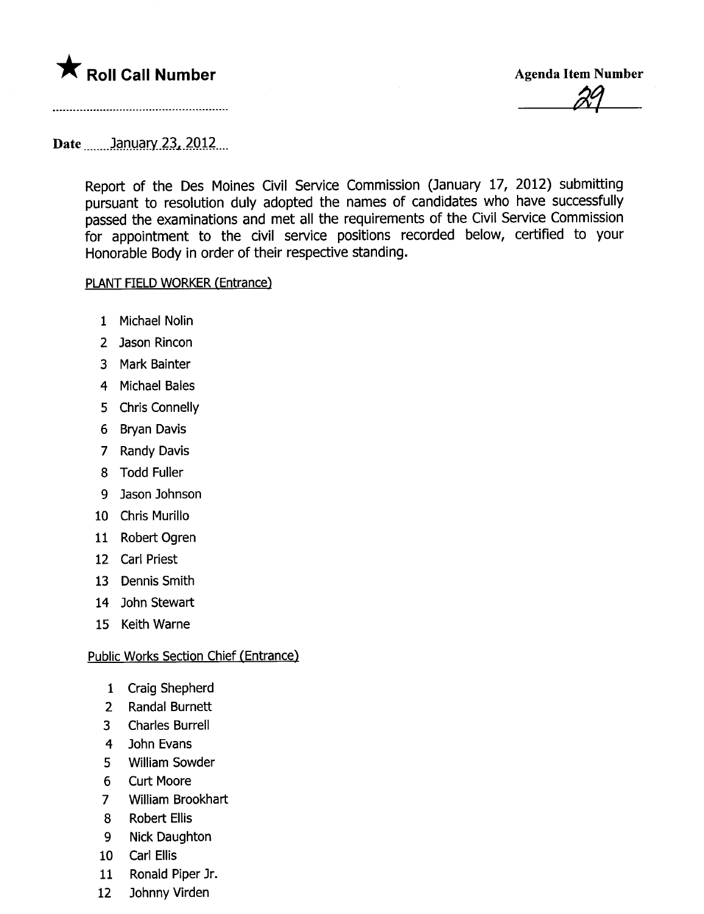# **\*** Roll Call Number Agenda Item Number

<u>24</u>

### Date .\_\_...)¡:m.Ll~r.\_2J.L)QJ2....

Report of the Des Moines Civil Service Commission (January 17, 2012) submitting pursuant to resolution duly adopted the names of candidates who have successfully passed the examinations and met all the requirements of the Civil Service Commission for appointment to the civil service positions recorded below, certified to your Honorable Body in order of their respective standing.

#### PLANT FIELD WORKER (Entrance)

- 1 Michael Nolin
- 2 Jason Rincon
- 3 Mark Bainter
- 4 Michael Bales
- 5 Chris Connelly
- 6 Bryan Davis
- 7 Randy Davis
- 8 Todd Fuller
- 9 Jason Johnson
- 10 Chris Murillo
- 11 Robert Ogren
- 12 Carl Priest
- 13 Dennis Smith
- 14 John Stewart
- 15 Keith Warne

#### Public Works Section Chief (Entrance)

- 1 Craig Shepherd
- 2 Randal Burnett
- 3 Charles Burrell
- 4 John Evans
- 5 Willam Sowder
- 6 Curt Moore
- 7 Wiliam Brookhart
- 8 Robert Ellis
- 9 Nick Daughton
- 10 Carl Ellis
- 11 Ronald Piper Jr.
- 12 Johnny Virden